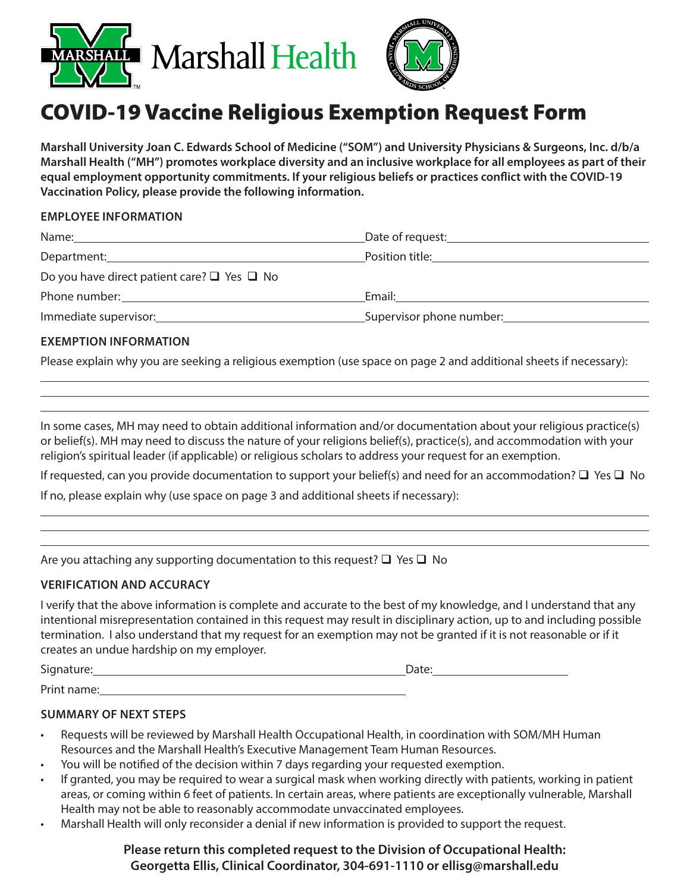



# COVID-19 Vaccine Religious Exemption Request Form

**Marshall University Joan C. Edwards School of Medicine ("SOM") and University Physicians & Surgeons, Inc. d/b/a Marshall Health ("MH") promotes workplace diversity and an inclusive workplace for all employees as part of their equal employment opportunity commitments. If your religious beliefs or practices conflict with the COVID-19 Vaccination Policy, please provide the following information.**

## **EMPLOYEE INFORMATION**

| Name:                                                                                                                                                                                                                         | Date of request: Date of request:                 |  |
|-------------------------------------------------------------------------------------------------------------------------------------------------------------------------------------------------------------------------------|---------------------------------------------------|--|
| Department: Department:                                                                                                                                                                                                       |                                                   |  |
| Do you have direct patient care? $\Box$ Yes $\Box$ No                                                                                                                                                                         |                                                   |  |
| Phone number: The contract of the contract of the contract of the contract of the contract of the contract of the contract of the contract of the contract of the contract of the contract of the contract of the contract of | Email:                                            |  |
| Immediate supervisor: National American Service Contractor                                                                                                                                                                    | Supervisor phone number: Supervisor phone number. |  |

# **EXEMPTION INFORMATION**

 $\overline{a}$ 

 $\overline{a}$ 

Please explain why you are seeking a religious exemption (use space on page 2 and additional sheets if necessary):

In some cases, MH may need to obtain additional information and/or documentation about your religious practice(s) or belief(s). MH may need to discuss the nature of your religions belief(s), practice(s), and accommodation with your religion's spiritual leader (if applicable) or religious scholars to address your request for an exemption.

If requested, can you provide documentation to support your belief(s) and need for an accommodation?  $\Box$  Yes  $\Box$  No

If no, please explain why (use space on page 3 and additional sheets if necessary):

|  |  |  |  |  | Are you attaching any supporting documentation to this request? $\square$ Yes $\square$ No |
|--|--|--|--|--|--------------------------------------------------------------------------------------------|
|--|--|--|--|--|--------------------------------------------------------------------------------------------|

# **VERIFICATION AND ACCURACY**

I verify that the above information is complete and accurate to the best of my knowledge, and I understand that any intentional misrepresentation contained in this request may result in disciplinary action, up to and including possible termination. I also understand that my request for an exemption may not be granted if it is not reasonable or if it creates an undue hardship on my employer.

Signature: Date: Date: Date: Date: Date: Date: Date: Date: Date: Date: Date: Date: Date: Date: Date: Date: Date: Date: Date: Date: Date: Date: Date: Date: Date: Date: Date: Date: Date: Date: Date: Date: Date: Date: Date: D Print name:

#### **SUMMARY OF NEXT STEPS**

- Requests will be reviewed by Marshall Health Occupational Health, in coordination with SOM/MH Human Resources and the Marshall Health's Executive Management Team Human Resources.
- You will be notified of the decision within 7 days regarding your requested exemption.
- If granted, you may be required to wear a surgical mask when working directly with patients, working in patient areas, or coming within 6 feet of patients. In certain areas, where patients are exceptionally vulnerable, Marshall Health may not be able to reasonably accommodate unvaccinated employees.
- Marshall Health will only reconsider a denial if new information is provided to support the request.

# **Please return this completed request to the Division of Occupational Health: Georgetta Ellis, Clinical Coordinator, 304-691-1110 or ellisg@marshall.edu**